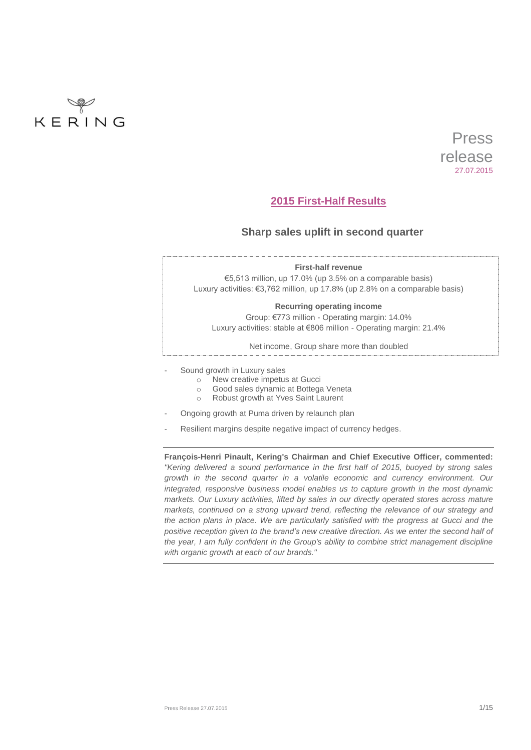

# **2015 First-Half Results**

# **Sharp sales uplift in second quarter**

|   | <b>First-half revenue</b>                                                   |
|---|-----------------------------------------------------------------------------|
|   | $\epsilon$ 5.513 million, up 17.0% (up 3.5% on a comparable basis)          |
|   | Luxury activities: €3,762 million, up 17.8% (up 2.8% on a comparable basis) |
|   | Recurring operating income                                                  |
|   | Group: €773 million - Operating margin: 14.0%                               |
|   | Luxury activities: stable at €806 million - Operating margin: 21.4%         |
|   | Net income, Group share more than doubled                                   |
| - | Sound growth in Luxury sales                                                |
|   | New creative impetus at Gucci<br>$\circ$                                    |
|   | Good sales dynamic at Bottega Veneta<br>$\bigcirc$                          |
|   |                                                                             |

- o Robust growth at Yves Saint Laurent
- Ongoing growth at Puma driven by relaunch plan
- Resilient margins despite negative impact of currency hedges.

**François-Henri Pinault, Kering's Chairman and Chief Executive Officer, commented:** *"Kering delivered a sound performance in the first half of 2015, buoyed by strong sales growth in the second quarter in a volatile economic and currency environment. Our integrated, responsive business model enables us to capture growth in the most dynamic markets. Our Luxury activities, lifted by sales in our directly operated stores across mature markets, continued on a strong upward trend, reflecting the relevance of our strategy and the action plans in place. We are particularly satisfied with the progress at Gucci and the positive reception given to the brand's new creative direction. As we enter the second half of the year, I am fully confident in the Group's ability to combine strict management discipline with organic growth at each of our brands."*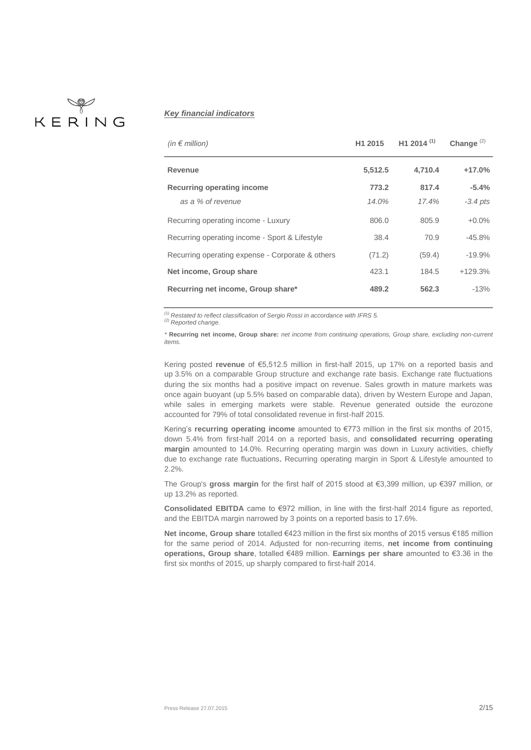# 

# *Key financial indicators*

| (in $\epsilon$ million)                          | H1 2015 | H1 2014 <sup>(1)</sup> | Change <sup>(2)</sup> |
|--------------------------------------------------|---------|------------------------|-----------------------|
| <b>Revenue</b>                                   | 5,512.5 | 4,710.4                | $+17.0\%$             |
| Recurring operating income                       | 773.2   | 817.4                  | $-5.4%$               |
| as a % of revenue                                | 14.0%   | 17.4%                  | $-3.4$ pts            |
| Recurring operating income - Luxury              | 806.0   | 805.9                  | $+0.0\%$              |
| Recurring operating income - Sport & Lifestyle   | 38.4    | 70.9                   | $-45.8%$              |
| Recurring operating expense - Corporate & others | (71.2)  | (59.4)                 | $-19.9%$              |
| Net income, Group share                          | 423.1   | 184.5                  | $+129.3%$             |
| Recurring net income, Group share*               | 489.2   | 562.3                  | $-13%$                |

*(1) Restated to reflect classification of Sergio Rossi in accordance with IFRS 5.*

*(2) Reported change.*

*\** **Recurring net income, Group share:** *net income from continuing operations, Group share, excluding non-current items.*

Kering posted **revenue** of €5,512.5 million in first-half 2015, up 17% on a reported basis and up 3.5% on a comparable Group structure and exchange rate basis. Exchange rate fluctuations during the six months had a positive impact on revenue. Sales growth in mature markets was once again buoyant (up 5.5% based on comparable data), driven by Western Europe and Japan, while sales in emerging markets were stable. Revenue generated outside the eurozone accounted for 79% of total consolidated revenue in first-half 2015.

Kering's **recurring operating income** amounted to €773 million in the first six months of 2015, down 5.4% from first-half 2014 on a reported basis, and **consolidated recurring operating margin** amounted to 14.0%. Recurring operating margin was down in Luxury activities, chiefly due to exchange rate fluctuations. Recurring operating margin in Sport & Lifestyle amounted to 2.2%.

The Group's **gross margin** for the first half of 2015 stood at €3,399 million, up €397 million, or up 13.2% as reported.

**Consolidated EBITDA** came to €972 million, in line with the first-half 2014 figure as reported, and the EBITDA margin narrowed by 3 points on a reported basis to 17.6%.

**Net income, Group share** totalled €423 million in the first six months of 2015 versus €185 million for the same period of 2014. Adjusted for non-recurring items, **net income from continuing operations, Group share**, totalled €489 million. **Earnings per share** amounted to €3.36 in the first six months of 2015, up sharply compared to first-half 2014.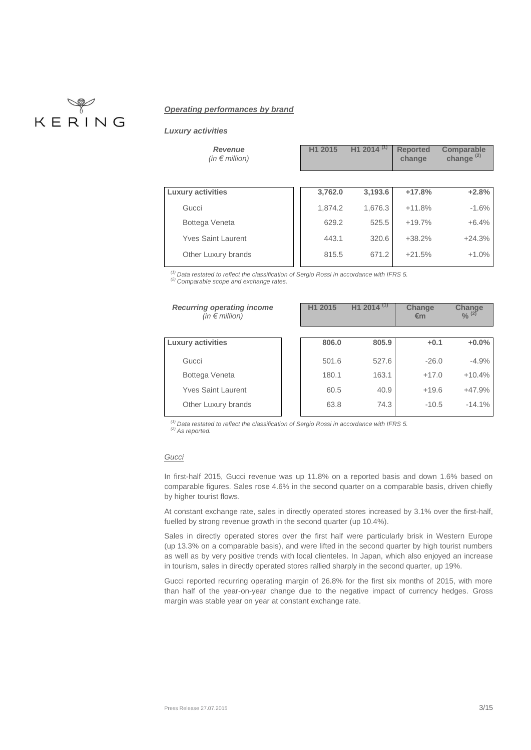

# *Operating performances by brand*

*Luxury activities*

| <b>Revenue</b><br>(in $\epsilon$ million) | H1 2015 | H <sub>1</sub> 2014 <sup>(1)</sup> | <b>Reported</b><br>change | Comparable<br>change $(2)$ |
|-------------------------------------------|---------|------------------------------------|---------------------------|----------------------------|
| <b>Luxury activities</b>                  | 3,762.0 | 3,193.6                            | $+17.8%$                  | $+2.8%$                    |
| Gucci                                     | 1,874.2 | 1,676.3                            | $+11.8%$                  | $-1.6%$                    |
| Bottega Veneta                            | 629.2   | 525.5                              | $+19.7%$                  | $+6.4%$                    |
| <b>Yves Saint Laurent</b>                 | 443.1   | 320.6                              | $+38.2%$                  | $+24.3%$                   |
| Other Luxury brands                       | 815.5   | 671.2                              | $+21.5%$                  | $+1.0%$                    |
|                                           |         |                                    |                           |                            |

*(1) Data restated to reflect the classification of Sergio Rossi in accordance with IFRS 5.*

*(2) Comparable scope and exchange rates.*

| <b>Recurring operating income</b><br>(in $\epsilon$ million) | H <sub>1</sub> 2015 | H <sub>1</sub> 2014 | Change<br>€m | Change<br>$\frac{0}{2}$ (2) |
|--------------------------------------------------------------|---------------------|---------------------|--------------|-----------------------------|
|                                                              |                     |                     |              |                             |
| <b>Luxury activities</b>                                     | 806.0               | 805.9               | $+0.1$       | $+0.0%$                     |
| Gucci                                                        | 501.6               | 527.6               | $-26.0$      | $-4.9%$                     |
| Bottega Veneta                                               | 180.1               | 163.1               | $+17.0$      | $+10.4%$                    |
| <b>Yves Saint Laurent</b>                                    | 60.5                | 40.9                | $+19.6$      | $+47.9%$                    |
| Other Luxury brands                                          | 63.8                | 74.3                | $-10.5$      | $-14.1%$                    |

*(1) Data restated to reflect the classification of Sergio Rossi in accordance with IFRS 5.*

*(2) As reported.* 

### *Gucci*

In first-half 2015, Gucci revenue was up 11.8% on a reported basis and down 1.6% based on comparable figures. Sales rose 4.6% in the second quarter on a comparable basis, driven chiefly by higher tourist flows.

At constant exchange rate, sales in directly operated stores increased by 3.1% over the first-half, fuelled by strong revenue growth in the second quarter (up 10.4%).

Sales in directly operated stores over the first half were particularly brisk in Western Europe (up 13.3% on a comparable basis), and were lifted in the second quarter by high tourist numbers as well as by very positive trends with local clienteles. In Japan, which also enjoyed an increase in tourism, sales in directly operated stores rallied sharply in the second quarter, up 19%.

Gucci reported recurring operating margin of 26.8% for the first six months of 2015, with more than half of the year-on-year change due to the negative impact of currency hedges. Gross margin was stable year on year at constant exchange rate.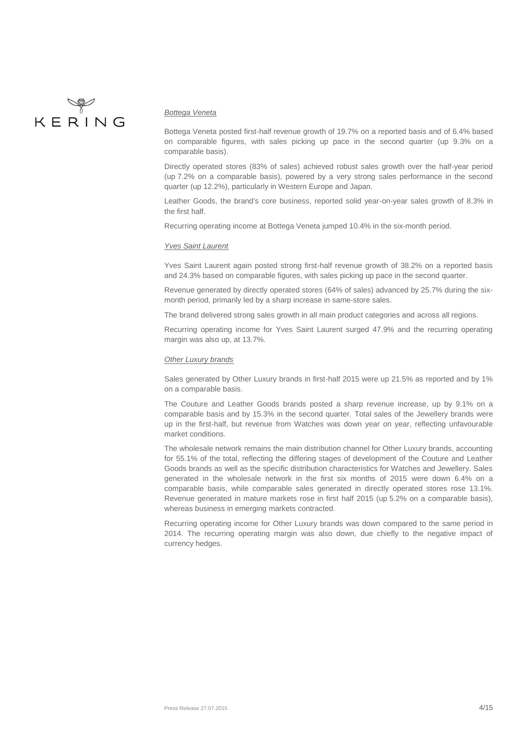

#### *Bottega Veneta*

Bottega Veneta posted first-half revenue growth of 19.7% on a reported basis and of 6.4% based on comparable figures, with sales picking up pace in the second quarter (up 9.3% on a comparable basis).

Directly operated stores (83% of sales) achieved robust sales growth over the half-year period (up 7.2% on a comparable basis), powered by a very strong sales performance in the second quarter (up 12.2%), particularly in Western Europe and Japan.

Leather Goods, the brand's core business, reported solid year-on-year sales growth of 8.3% in the first half.

Recurring operating income at Bottega Veneta jumped 10.4% in the six-month period.

### *Yves Saint Laurent*

Yves Saint Laurent again posted strong first-half revenue growth of 38.2% on a reported basis and 24.3% based on comparable figures, with sales picking up pace in the second quarter.

Revenue generated by directly operated stores (64% of sales) advanced by 25.7% during the sixmonth period, primarily led by a sharp increase in same-store sales.

The brand delivered strong sales growth in all main product categories and across all regions.

Recurring operating income for Yves Saint Laurent surged 47.9% and the recurring operating margin was also up, at 13.7%.

#### *Other Luxury brands*

Sales generated by Other Luxury brands in first-half 2015 were up 21.5% as reported and by 1% on a comparable basis.

The Couture and Leather Goods brands posted a sharp revenue increase, up by 9.1% on a comparable basis and by 15.3% in the second quarter. Total sales of the Jewellery brands were up in the first-half, but revenue from Watches was down year on year, reflecting unfavourable market conditions.

The wholesale network remains the main distribution channel for Other Luxury brands, accounting for 55.1% of the total, reflecting the differing stages of development of the Couture and Leather Goods brands as well as the specific distribution characteristics for Watches and Jewellery. Sales generated in the wholesale network in the first six months of 2015 were down 6.4% on a comparable basis, while comparable sales generated in directly operated stores rose 13.1%. Revenue generated in mature markets rose in first half 2015 (up 5.2% on a comparable basis), whereas business in emerging markets contracted.

Recurring operating income for Other Luxury brands was down compared to the same period in 2014. The recurring operating margin was also down, due chiefly to the negative impact of currency hedges.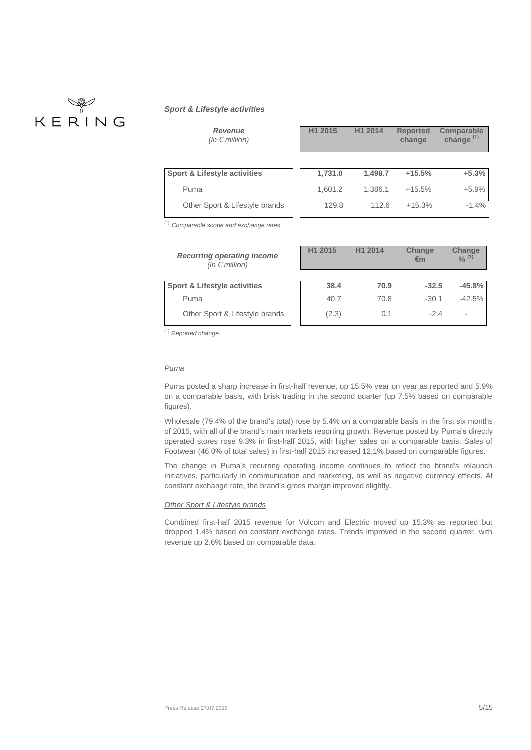# KERING

## *Sport & Lifestyle activities*

| <b>Revenue</b><br>(in $\epsilon$ million)                    | H1 2015 | H1 2014 | <b>Reported</b><br>change | <b>Comparable</b><br>change $(1)$ |
|--------------------------------------------------------------|---------|---------|---------------------------|-----------------------------------|
|                                                              |         |         |                           |                                   |
| <b>Sport &amp; Lifestyle activities</b>                      | 1,731.0 | 1,498.7 | $+15.5%$                  | $+5.3%$                           |
| Puma                                                         | 1,601.2 | 1,386.1 | $+15.5%$                  | $+5.9%$                           |
| Other Sport & Lifestyle brands                               | 129.8   | 112.6   | $+15.3%$                  | $-1.4%$                           |
| $(1)$ Comparable scope and exchange rates.                   |         |         |                           |                                   |
| <b>Recurring operating income</b><br>(in $\epsilon$ million) | H1 2015 | H1 2014 | Change<br>€m              | Change<br>$\frac{0}{6}$ (1)       |
|                                                              |         |         |                           |                                   |
| <b>Sport &amp; Lifestyle activities</b>                      | 38.4    | 70.9    | $-32.5$                   | $-45.8%$                          |
| Puma                                                         | 40.7    | 70.8    | $-30.1$                   | $-42.5%$                          |

*(1) Reported change.*

## *Puma*

Puma posted a sharp increase in first-half revenue, up 15.5% year on year as reported and 5.9% on a comparable basis, with brisk trading in the second quarter (up 7.5% based on comparable figures).

Other Sport & Lifestyle brands (2.3) 0.1 -2.4

Wholesale (79.4% of the brand's total) rose by 5.4% on a comparable basis in the first six months of 2015, with all of the brand's main markets reporting growth. Revenue posted by Puma's directly operated stores rose 9.3% in first-half 2015, with higher sales on a comparable basis. Sales of Footwear (46.0% of total sales) in first-half 2015 increased 12.1% based on comparable figures.

The change in Puma's recurring operating income continues to reflect the brand's relaunch initiatives, particularly in communication and marketing, as well as negative currency effects. At constant exchange rate, the brand's gross margin improved slightly.

#### *Other Sport & Lifestyle brands*

Combined first-half 2015 revenue for Volcom and Electric moved up 15.3% as reported but dropped 1.4% based on constant exchange rates. Trends improved in the second quarter, with revenue up 2.6% based on comparable data.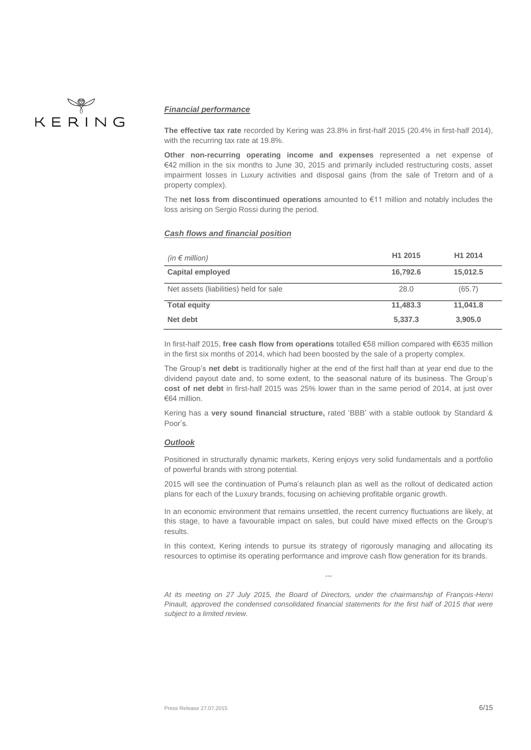

## *Financial performance*

**The effective tax rate** recorded by Kering was 23.8% in first-half 2015 (20.4% in first-half 2014), with the recurring tax rate at 19.8%.

**Other non-recurring operating income and expenses** represented a net expense of €42 million in the six months to June 30, 2015 and primarily included restructuring costs, asset impairment losses in Luxury activities and disposal gains (from the sale of Tretorn and of a property complex).

The **net loss from discontinued operations** amounted to €11 million and notably includes the loss arising on Sergio Rossi during the period.

## *Cash flows and financial position*

| (in $\epsilon$ million)                | H <sub>1</sub> 2015 | H1 2014  |
|----------------------------------------|---------------------|----------|
| Capital employed                       | 16,792.6            | 15,012.5 |
| Net assets (liabilities) held for sale | 28.0                | (65.7)   |
| <b>Total equity</b>                    | 11,483.3            | 11,041.8 |
| Net debt                               | 5,337.3             | 3,905.0  |

In first-half 2015, **free cash flow from operations** totalled €58 million compared with €635 million in the first six months of 2014, which had been boosted by the sale of a property complex.

The Group's **net debt** is traditionally higher at the end of the first half than at year end due to the dividend payout date and, to some extent, to the seasonal nature of its business. The Group's **cost of net debt** in first-half 2015 was 25% lower than in the same period of 2014, at just over €64 million.

Kering has a **very sound financial structure,** rated 'BBB' with a stable outlook by Standard & Poor's.

### *Outlook*

Positioned in structurally dynamic markets, Kering enjoys very solid fundamentals and a portfolio of powerful brands with strong potential.

2015 will see the continuation of Puma's relaunch plan as well as the rollout of dedicated action plans for each of the Luxury brands, focusing on achieving profitable organic growth.

In an economic environment that remains unsettled, the recent currency fluctuations are likely, at this stage, to have a favourable impact on sales, but could have mixed effects on the Group's results.

In this context, Kering intends to pursue its strategy of rigorously managing and allocating its resources to optimise its operating performance and improve cash flow generation for its brands.

*---*

*At its meeting on 27 July 2015, the Board of Directors, under the chairmanship of François-Henri Pinault, approved the condensed consolidated financial statements for the first half of 2015 that were subject to a limited review.*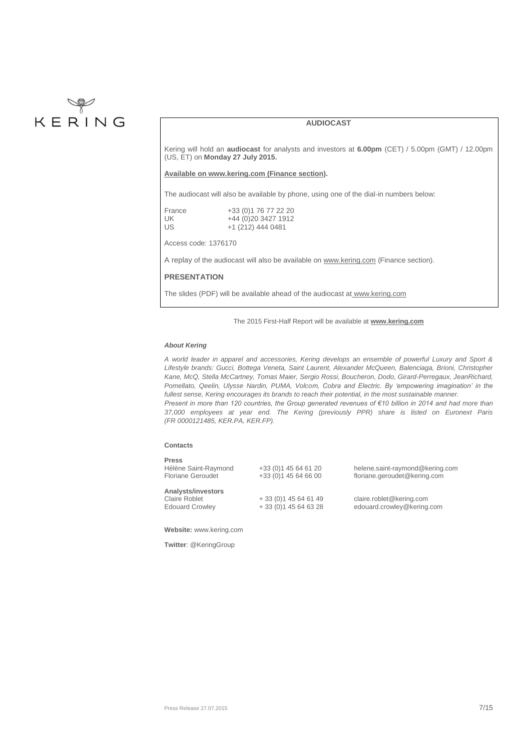

## **AUDIOCAST**

Kering will hold an **audiocast** for analysts and investors at **6.00pm** (CET) / 5.00pm (GMT) / 12.00pm (US, ET) on **Monday 27 July 2015.**

#### **Available o[n www.kering.com](http://www.kering.com/) (Finance section).**

The audiocast will also be available by phone, using one of the dial-in numbers below:

| France | +33 (0) 1 76 77 22 20 |
|--------|-----------------------|
| UK.    | +44 (0) 20 3427 1912  |
| US.    | +1 (212) 444 0481     |

Access code: 1376170

A replay of the audiocast will also be available o[n www.kering.com](http://www.kering.com/) (Finance section).

## **PRESENTATION**

The slides (PDF) will be available ahead of the audiocast at [www.kering.com](http://www.kering.com/)

#### The 2015 First-Half Report will be available at **[www.kering.com](http://www.kering.com/)**

#### *About Kering*

*A world leader in apparel and accessories, Kering develops an ensemble of powerful Luxury and Sport & Lifestyle brands: Gucci, Bottega Veneta, Saint Laurent, Alexander McQueen, Balenciaga, Brioni, Christopher Kane, McQ, Stella McCartney, Tomas Maier, Sergio Rossi, Boucheron, Dodo, Girard-Perregaux, JeanRichard, Pomellato, Qeelin, Ulysse Nardin, PUMA, Volcom, Cobra and Electric. By 'empowering imagination' in the fullest sense, Kering encourages its brands to reach their potential, in the most sustainable manner. Present in more than 120 countries, the Group generated revenues of €10 billion in 2014 and had more than 37,000 employees at year end. The Kering (previously PPR) share is listed on Euronext Paris (FR 0000121485, KER.PA, KER.FP).*

#### **Contacts**

| <b>Press</b><br>Hélène Saint-Raymond<br><b>Floriane Geroudet</b> | +33 (0) 1 45 64 61 20<br>+33 (0) 1 45 64 66 00 | helene.saint-raymond@kering.com<br>floriane.geroudet@kering.com |
|------------------------------------------------------------------|------------------------------------------------|-----------------------------------------------------------------|
| Analysts/investors<br>Claire Roblet<br><b>Edouard Crowley</b>    | $+33(0)145646149$<br>$+33(0)145646328$         | claire.roblet@kering.com<br>edouard.crowley@kering.com          |

**Website:** www.kering.com

**Twitter**[: @KeringGroup](https://twitter.com/keringgroup)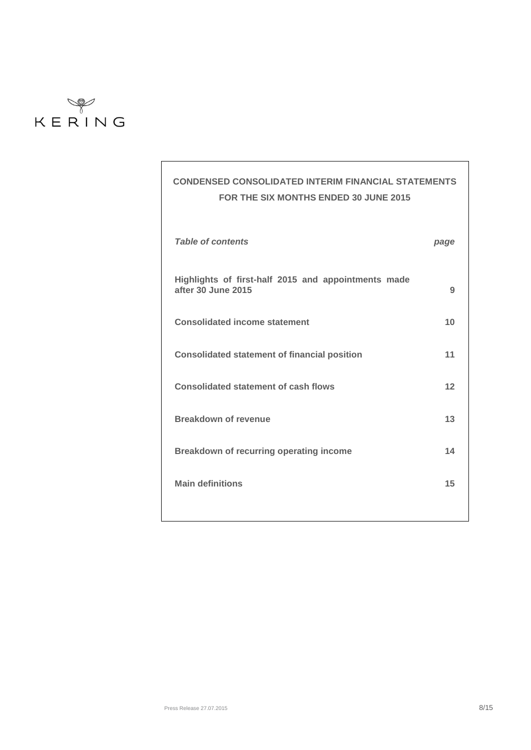

# **CONDENSED CONSOLIDATED INTERIM FINANCIAL STATEMENTS FOR THE SIX MONTHS ENDED 30 JUNE 2015**

| <b>Table of contents</b>                                                  | page |
|---------------------------------------------------------------------------|------|
| Highlights of first-half 2015 and appointments made<br>after 30 June 2015 | 9    |
| <b>Consolidated income statement</b>                                      | 10   |
| <b>Consolidated statement of financial position</b>                       | 11   |
| <b>Consolidated statement of cash flows</b>                               | 12   |
| Breakdown of revenue                                                      | 13   |
| <b>Breakdown of recurring operating income</b>                            | 14   |
| <b>Main definitions</b>                                                   | 15   |
|                                                                           |      |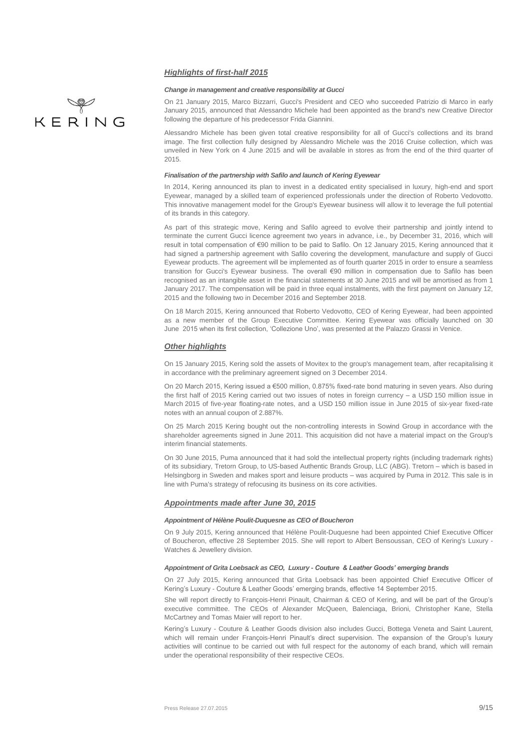## *Highlights of first-half 2015*

#### *Change in management and creative responsibility at Gucci*

On 21 January 2015, Marco Bizzarri, Gucci's President and CEO who succeeded Patrizio di Marco in early January 2015, announced that Alessandro Michele had been appointed as the brand's new Creative Director following the departure of his predecessor Frida Giannini.

Alessandro Michele has been given total creative responsibility for all of Gucci's collections and its brand image. The first collection fully designed by Alessandro Michele was the 2016 Cruise collection, which was unveiled in New York on 4 June 2015 and will be available in stores as from the end of the third quarter of 2015.

#### *Finalisation of the partnership with Safilo and launch of Kering Eyewear*

In 2014, Kering announced its plan to invest in a dedicated entity specialised in luxury, high-end and sport Eyewear, managed by a skilled team of experienced professionals under the direction of Roberto Vedovotto. This innovative management model for the Group's Eyewear business will allow it to leverage the full potential of its brands in this category.

As part of this strategic move, Kering and Safilo agreed to evolve their partnership and jointly intend to terminate the current Gucci licence agreement two years in advance, i.e., by December 31, 2016, which will result in total compensation of €90 million to be paid to Safilo. On 12 January 2015, Kering announced that it had signed a partnership agreement with Safilo covering the development, manufacture and supply of Gucci Eyewear products. The agreement will be implemented as of fourth quarter 2015 in order to ensure a seamless transition for Gucci's Eyewear business. The overall €90 million in compensation due to Safilo has been recognised as an intangible asset in the financial statements at 30 June 2015 and will be amortised as from 1 January 2017. The compensation will be paid in three equal instalments, with the first payment on January 12, 2015 and the following two in December 2016 and September 2018.

On 18 March 2015, Kering announced that Roberto Vedovotto, CEO of Kering Eyewear, had been appointed as a new member of the Group Executive Committee. Kering Eyewear was officially launched on 30 June 2015 when its first collection, 'Collezione Uno', was presented at the Palazzo Grassi in Venice.

## *Other highlights*

On 15 January 2015, Kering sold the assets of Movitex to the group's management team, after recapitalising it in accordance with the preliminary agreement signed on 3 December 2014.

On 20 March 2015, Kering issued a €500 million, 0.875% fixed-rate bond maturing in seven years. Also during the first half of 2015 Kering carried out two issues of notes in foreign currency – a USD 150 million issue in March 2015 of five-year floating-rate notes, and a USD 150 million issue in June 2015 of six-year fixed-rate notes with an annual coupon of 2.887%.

On 25 March 2015 Kering bought out the non-controlling interests in Sowind Group in accordance with the shareholder agreements signed in June 2011. This acquisition did not have a material impact on the Group's interim financial statements.

On 30 June 2015, Puma announced that it had sold the intellectual property rights (including trademark rights) of its subsidiary, Tretorn Group, to US-based Authentic Brands Group, LLC (ABG). Tretorn – which is based in Helsingborg in Sweden and makes sport and leisure products – was acquired by Puma in 2012. This sale is in line with Puma's strategy of refocusing its business on its core activities.

#### *Appointments made after June 30, 2015*

#### *Appointment of Hélène Poulit-Duquesne as CEO of Boucheron*

On 9 July 2015, Kering announced that Hélène Poulit-Duquesne had been appointed Chief Executive Officer of Boucheron, effective 28 September 2015. She will report to Albert Bensoussan, CEO of Kering's Luxury - Watches & Jewellery division.

#### *Appointment of Grita Loebsack as CEO, Luxury - Couture & Leather Goods' emerging brands*

On 27 July 2015, Kering announced that Grita Loebsack has been appointed Chief Executive Officer of Kering's Luxury - Couture & Leather Goods' emerging brands, effective 14 September 2015.

She will report directly to François-Henri Pinault, Chairman & CEO of Kering, and will be part of the Group's executive committee. The CEOs of Alexander McQueen, Balenciaga, Brioni, Christopher Kane, Stella McCartney and Tomas Maier will report to her.

Kering's Luxury - Couture & Leather Goods division also includes Gucci, Bottega Veneta and Saint Laurent, which will remain under François-Henri Pinault's direct supervision. The expansion of the Group's luxury activities will continue to be carried out with full respect for the autonomy of each brand, which will remain under the operational responsibility of their respective CEOs.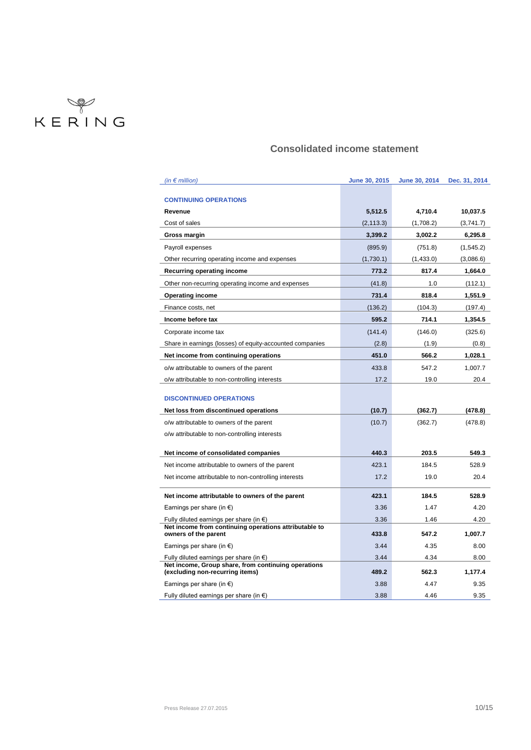

# **Consolidated income statement**

| (in $\epsilon$ million)                                                                | June 30, 2015 | June 30, 2014 | Dec. 31, 2014 |
|----------------------------------------------------------------------------------------|---------------|---------------|---------------|
|                                                                                        |               |               |               |
| <b>CONTINUING OPERATIONS</b>                                                           |               |               |               |
| Revenue                                                                                | 5,512.5       | 4,710.4       | 10,037.5      |
| Cost of sales                                                                          | (2, 113.3)    | (1,708.2)     | (3,741.7)     |
| Gross margin                                                                           | 3,399.2       | 3,002.2       | 6,295.8       |
| Payroll expenses                                                                       | (895.9)       | (751.8)       | (1, 545.2)    |
| Other recurring operating income and expenses                                          | (1,730.1)     | (1,433.0)     | (3,086.6)     |
| Recurring operating income                                                             | 773.2         | 817.4         | 1,664.0       |
| Other non-recurring operating income and expenses                                      | (41.8)        | 1.0           | (112.1)       |
| <b>Operating income</b>                                                                | 731.4         | 818.4         | 1,551.9       |
| Finance costs, net                                                                     | (136.2)       | (104.3)       | (197.4)       |
| Income before tax                                                                      | 595.2         | 714.1         | 1,354.5       |
| Corporate income tax                                                                   | (141.4)       | (146.0)       | (325.6)       |
| Share in earnings (losses) of equity-accounted companies                               | (2.8)         | (1.9)         | (0.8)         |
| Net income from continuing operations                                                  | 451.0         | 566.2         | 1,028.1       |
| o/w attributable to owners of the parent                                               | 433.8         | 547.2         | 1,007.7       |
| o/w attributable to non-controlling interests                                          | 17.2          | 19.0          | 20.4          |
|                                                                                        |               |               |               |
| <b>DISCONTINUED OPERATIONS</b>                                                         |               |               |               |
| Net loss from discontinued operations                                                  | (10.7)        | (362.7)       | (478.8)       |
| o/w attributable to owners of the parent                                               | (10.7)        | (362.7)       | (478.8)       |
| o/w attributable to non-controlling interests                                          |               |               |               |
| Net income of consolidated companies                                                   | 440.3         | 203.5         | 549.3         |
|                                                                                        | 423.1         | 184.5         | 528.9         |
| Net income attributable to owners of the parent                                        | 17.2          |               | 20.4          |
| Net income attributable to non-controlling interests                                   |               | 19.0          |               |
| Net income attributable to owners of the parent                                        | 423.1         | 184.5         | 528.9         |
| Earnings per share (in $\epsilon$ )                                                    | 3.36          | 1.47          | 4.20          |
| Fully diluted earnings per share (in $\epsilon$ )                                      | 3.36          | 1.46          | 4.20          |
| Net income from continuing operations attributable to<br>owners of the parent          | 433.8         | 547.2         | 1,007.7       |
| Earnings per share (in $\epsilon$ )                                                    | 3.44          | 4.35          | 8.00          |
| Fully diluted earnings per share (in $\epsilon$ )                                      | 3.44          | 4.34          | 8.00          |
| Net income, Group share, from continuing operations<br>(excluding non-recurring items) | 489.2         | 562.3         | 1,177.4       |
| Earnings per share (in $\epsilon$ )                                                    | 3.88          | 4.47          | 9.35          |
| Fully diluted earnings per share (in $\epsilon$ )                                      | 3.88          | 4.46          | 9.35          |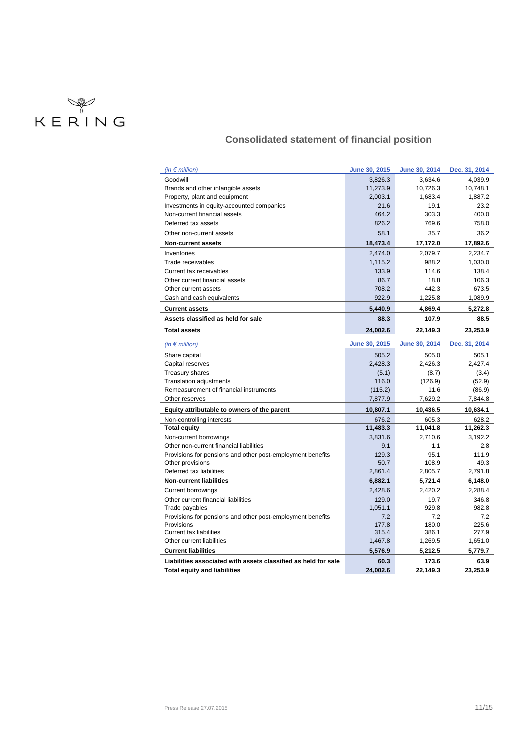

# **Consolidated statement of financial position**

| (in $\epsilon$ million)                                        | June 30, 2015 | June 30, 2014        | Dec. 31, 2014 |
|----------------------------------------------------------------|---------------|----------------------|---------------|
| Goodwill                                                       | 3,826.3       | 3,634.6              | 4,039.9       |
| Brands and other intangible assets                             | 11,273.9      | 10,726.3             | 10,748.1      |
| Property, plant and equipment                                  | 2,003.1       | 1,683.4              | 1,887.2       |
| Investments in equity-accounted companies                      | 21.6          | 19.1                 | 23.2          |
| Non-current financial assets                                   | 464.2         | 303.3                | 400.0         |
| Deferred tax assets                                            | 826.2         | 769.6                | 758.0         |
| Other non-current assets                                       | 58.1          | 35.7                 | 36.2          |
| <b>Non-current assets</b>                                      | 18,473.4      | 17,172.0             | 17,892.6      |
| Inventories                                                    | 2,474.0       | 2,079.7              | 2,234.7       |
| Trade receivables                                              | 1,115.2       | 988.2                | 1,030.0       |
| Current tax receivables                                        | 133.9         | 114.6                | 138.4         |
| Other current financial assets                                 | 86.7          | 18.8                 | 106.3         |
| Other current assets                                           | 708.2         | 442.3                | 673.5         |
| Cash and cash equivalents                                      | 922.9         | 1,225.8              | 1,089.9       |
| <b>Current assets</b>                                          | 5,440.9       | 4,869.4              | 5,272.8       |
| Assets classified as held for sale                             | 88.3          | 107.9                | 88.5          |
| <b>Total assets</b>                                            | 24,002.6      | 22,149.3             | 23,253.9      |
| (in $\epsilon$ million)                                        | June 30, 2015 | <b>June 30, 2014</b> | Dec. 31, 2014 |
| Share capital                                                  | 505.2         | 505.0                | 505.1         |
| Capital reserves                                               | 2,428.3       | 2,426.3              | 2,427.4       |
| <b>Treasury shares</b>                                         | (5.1)         | (8.7)                | (3.4)         |
| <b>Translation adjustments</b>                                 | 116.0         | (126.9)              | (52.9)        |
| Remeasurement of financial instruments                         | (115.2)       | 11.6                 | (86.9)        |
| Other reserves                                                 | 7,877.9       | 7,629.2              | 7,844.8       |
| Equity attributable to owners of the parent                    | 10,807.1      | 10.436.5             | 10,634.1      |
| Non-controlling interests                                      | 676.2         | 605.3                | 628.2         |
| <b>Total equity</b>                                            | 11,483.3      | 11,041.8             | 11,262.3      |
| Non-current borrowings                                         | 3,831.6       | 2,710.6              | 3,192.2       |
| Other non-current financial liabilities                        | 9.1           | 1.1                  | 2.8           |
| Provisions for pensions and other post-employment benefits     | 129.3         | 95.1                 | 111.9         |
| Other provisions                                               | 50.7          | 108.9                | 49.3          |
| Deferred tax liabilities                                       | 2,861.4       | 2,805.7              | 2,791.8       |
| <b>Non-current liabilities</b>                                 | 6,882.1       | 5,721.4              | 6,148.0       |
| <b>Current borrowings</b>                                      | 2,428.6       | 2,420.2              | 2,288.4       |
| Other current financial liabilities                            | 129.0         | 19.7                 | 346.8         |
| Trade payables                                                 | 1,051.1       | 929.8                | 982.8         |
| Provisions for pensions and other post-employment benefits     | 7.2           | 7.2                  | 7.2           |
| Provisions                                                     | 177.8         | 180.0                | 225.6         |
| <b>Current tax liabilities</b>                                 | 315.4         | 386.1                | 277.9         |
| Other current liabilities                                      | 1,467.8       | 1,269.5              | 1,651.0       |
| <b>Current liabilities</b>                                     | 5,576.9       | 5,212.5              | 5,779.7       |
| Liabilities associated with assets classified as held for sale | 60.3          | 173.6                | 63.9          |
| <b>Total equity and liabilities</b>                            | 24,002.6      | 22,149.3             | 23,253.9      |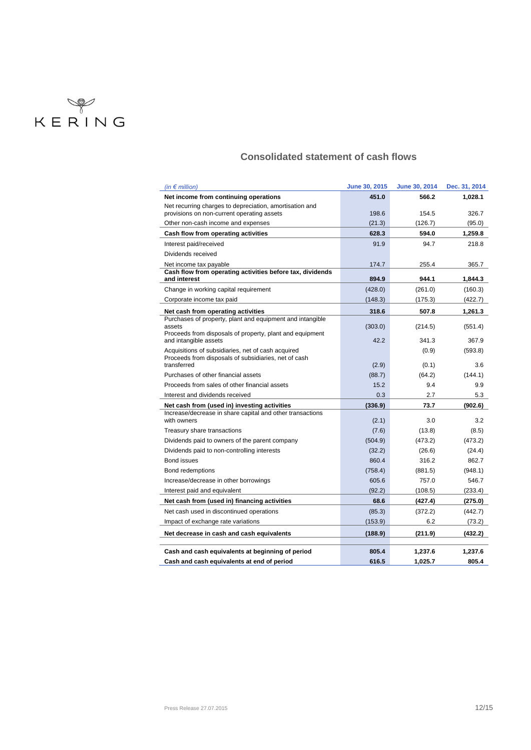

# **Consolidated statement of cash flows**

| (in $\epsilon$ million)                                                                                   | June 30, 2015 | June 30, 2014 | Dec. 31, 2014 |
|-----------------------------------------------------------------------------------------------------------|---------------|---------------|---------------|
| Net income from continuing operations                                                                     | 451.0         | 566.2         | 1,028.1       |
| Net recurring charges to depreciation, amortisation and                                                   |               |               |               |
| provisions on non-current operating assets                                                                | 198.6         | 154.5         | 326.7         |
| Other non-cash income and expenses                                                                        | (21.3)        | (126.7)       | (95.0)        |
| Cash flow from operating activities                                                                       | 628.3         | 594.0         | 1.259.8       |
| Interest paid/received                                                                                    | 91.9          | 94.7          | 218.8         |
| Dividends received                                                                                        |               |               |               |
| Net income tax payable                                                                                    | 174.7         | 255.4         | 365.7         |
| Cash flow from operating activities before tax, dividends<br>and interest                                 | 894.9         | 944.1         | 1.844.3       |
| Change in working capital requirement                                                                     | (428.0)       | (261.0)       | (160.3)       |
| Corporate income tax paid                                                                                 | (148.3)       | (175.3)       | (422.7)       |
| Net cash from operating activities                                                                        | 318.6         | 507.8         | 1,261.3       |
| Purchases of property, plant and equipment and intangible                                                 |               |               |               |
| assets<br>Proceeds from disposals of property, plant and equipment                                        | (303.0)       | (214.5)       | (551.4)       |
| and intangible assets                                                                                     | 42.2          | 341.3         | 367.9         |
| Acquisitions of subsidiaries, net of cash acquired                                                        |               | (0.9)         | (593.8)       |
| Proceeds from disposals of subsidiaries, net of cash                                                      |               |               |               |
| transferred                                                                                               | (2.9)         | (0.1)         | 3.6           |
| Purchases of other financial assets                                                                       | (88.7)        | (64.2)        | (144.1)       |
| Proceeds from sales of other financial assets                                                             | 15.2          | 9.4           | 9.9           |
| Interest and dividends received                                                                           | 0.3           | 2.7           | 5.3           |
| Net cash from (used in) investing activities<br>Increase/decrease in share capital and other transactions | (336.9)       | 73.7          | (902.6)       |
| with owners                                                                                               | (2.1)         | 3.0           | 3.2           |
| Treasury share transactions                                                                               | (7.6)         | (13.8)        | (8.5)         |
| Dividends paid to owners of the parent company                                                            | (504.9)       | (473.2)       | (473.2)       |
| Dividends paid to non-controlling interests                                                               | (32.2)        | (26.6)        | (24.4)        |
| <b>Bond issues</b>                                                                                        | 860.4         | 316.2         | 862.7         |
| Bond redemptions                                                                                          | (758.4)       | (881.5)       | (948.1)       |
| Increase/decrease in other borrowings                                                                     | 605.6         | 757.0         | 546.7         |
| Interest paid and equivalent                                                                              | (92.2)        | (108.5)       | (233.4)       |
| Net cash from (used in) financing activities                                                              | 68.6          | (427.4)       | (275.0)       |
| Net cash used in discontinued operations                                                                  | (85.3)        | (372.2)       | (442.7)       |
| Impact of exchange rate variations                                                                        | (153.9)       | 6.2           | (73.2)        |
| Net decrease in cash and cash equivalents                                                                 | (188.9)       | (211.9)       | (432.2)       |
|                                                                                                           |               |               |               |
| Cash and cash equivalents at beginning of period                                                          | 805.4         | 1,237.6       | 1,237.6       |
| Cash and cash equivalents at end of period                                                                | 616.5         | 1,025.7       | 805.4         |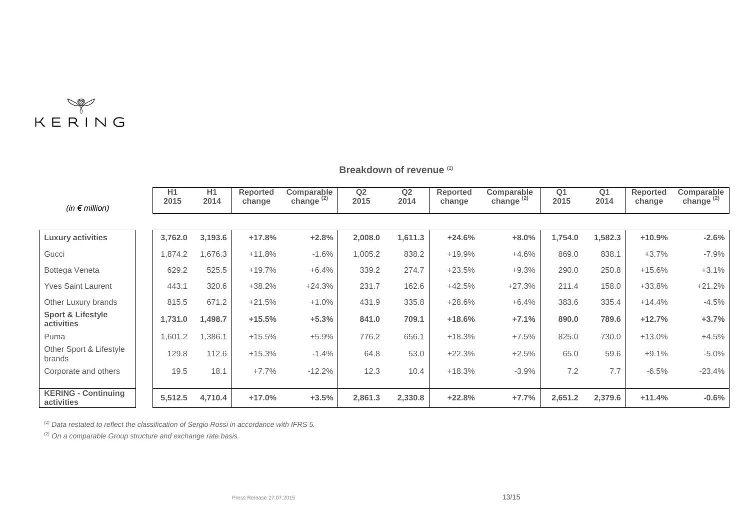

# **Breakdown of revenue (1)**

| (in $\epsilon$ million)                    | H1<br>2015 | H1<br>2014 | <b>Reported</b><br>change | Comparable<br>change $^{(2)}$ | Q <sub>2</sub><br>2015 | Q2<br>2014 | <b>Reported</b><br>change | Comparable<br>change <sup>(2)</sup> | Q <sub>1</sub><br>2015 | Q <sub>1</sub><br>2014 | <b>Reported</b><br>change | Comparable<br>change $(2)$ |
|--------------------------------------------|------------|------------|---------------------------|-------------------------------|------------------------|------------|---------------------------|-------------------------------------|------------------------|------------------------|---------------------------|----------------------------|
|                                            |            |            |                           |                               |                        |            |                           |                                     |                        |                        |                           |                            |
| <b>Luxury activities</b>                   | 3,762.0    | 3,193.6    | $+17.8%$                  | $+2.8%$                       | 2,008.0                | 1,611.3    | $+24.6%$                  | $+8.0%$                             | 1,754.0                | 1,582.3                | $+10.9%$                  | $-2.6%$                    |
| Gucci                                      | ,874.2     | 1,676.3    | $+11.8%$                  | $-1.6%$                       | 1,005.2                | 838.2      | $+19.9%$                  | $+4.6%$                             | 869.0                  | 838.1                  | $+3.7%$                   | $-7.9%$                    |
| Bottega Veneta                             | 629.2      | 525.5      | $+19.7%$                  | $+6.4%$                       | 339.2                  | 274.7      | $+23.5%$                  | $+9.3%$                             | 290.0                  | 250.8                  | $+15.6%$                  | $+3.1%$                    |
| <b>Yves Saint Laurent</b>                  | 443.1      | 320.6      | $+38.2%$                  | $+24.3%$                      | 231.7                  | 162.6      | $+42.5%$                  | $+27.3%$                            | 211.4                  | 158.0                  | $+33.8%$                  | $+21.2%$                   |
| Other Luxury brands                        | 815.5      | 671.2      | $+21.5%$                  | $+1.0%$                       | 431.9                  | 335.8      | $+28.6%$                  | $+6.4%$                             | 383.6                  | 335.4                  | $+14.4%$                  | $-4.5%$                    |
| <b>Sport &amp; Lifestyle</b><br>activities | 1,731.0    | 1,498.7    | $+15.5%$                  | $+5.3%$                       | 841.0                  | 709.1      | $+18.6%$                  | $+7.1%$                             | 890.0                  | 789.6                  | $+12.7%$                  | $+3.7%$                    |
| Puma                                       | ,601.2     | 1,386.1    | $+15.5%$                  | $+5.9%$                       | 776.2                  | 656.1      | $+18.3%$                  | $+7.5%$                             | 825.0                  | 730.0                  | $+13.0%$                  | $+4.5%$                    |
| Other Sport & Lifestyle<br>brands          | 129.8      | 112.6      | $+15.3%$                  | $-1.4%$                       | 64.8                   | 53.0       | $+22.3%$                  | $+2.5%$                             | 65.0                   | 59.6                   | $+9.1%$                   | $-5.0%$                    |
| Corporate and others                       | 19.5       | 18.1       | $+7.7%$                   | $-12.2%$                      | 12.3                   | 10.4       | $+18.3%$                  | $-3.9%$                             | 7.2                    | 7.7                    | $-6.5%$                   | $-23.4%$                   |
| <b>KERING - Continuing</b><br>activities   | 5,512.5    | 4,710.4    | $+17.0%$                  | $+3.5%$                       | 2,861.3                | 2,330.8    | $+22.8%$                  | $+7.7%$                             | 2,651.2                | 2,379.6                | $+11.4%$                  | $-0.6%$                    |

*(1) Data restated to reflect the classification of Sergio Rossi in accordance with IFRS 5.*

(2) *On a comparable Group structure and exchange rate basis.*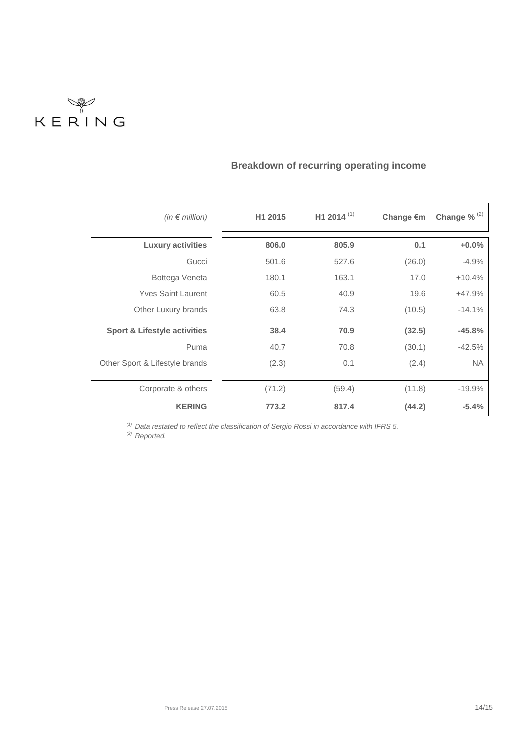

| (in $\epsilon$ million)                 | H1 2015 | H1 2014 $(1)$ | Change €m | Change % $(2)$ |
|-----------------------------------------|---------|---------------|-----------|----------------|
| <b>Luxury activities</b>                | 806.0   | 805.9         | 0.1       | $+0.0%$        |
| Gucci                                   | 501.6   | 527.6         | (26.0)    | $-4.9%$        |
| Bottega Veneta                          | 180.1   | 163.1         | 17.0      | $+10.4%$       |
| <b>Yves Saint Laurent</b>               | 60.5    | 40.9          | 19.6      | $+47.9%$       |
| Other Luxury brands                     | 63.8    | 74.3          | (10.5)    | $-14.1%$       |
| <b>Sport &amp; Lifestyle activities</b> | 38.4    | 70.9          | (32.5)    | $-45.8%$       |
| Puma                                    | 40.7    | 70.8          | (30.1)    | $-42.5%$       |
| Other Sport & Lifestyle brands          | (2.3)   | 0.1           | (2.4)     | <b>NA</b>      |
| Corporate & others                      | (71.2)  | (59.4)        | (11.8)    | $-19.9%$       |
| <b>KERING</b>                           | 773.2   | 817.4         | (44.2)    | $-5.4%$        |

# **Breakdown of recurring operating income**

*(1) Data restated to reflect the classification of Sergio Rossi in accordance with IFRS 5.*

*(2) Reported.*

 $\overline{\phantom{a}}$